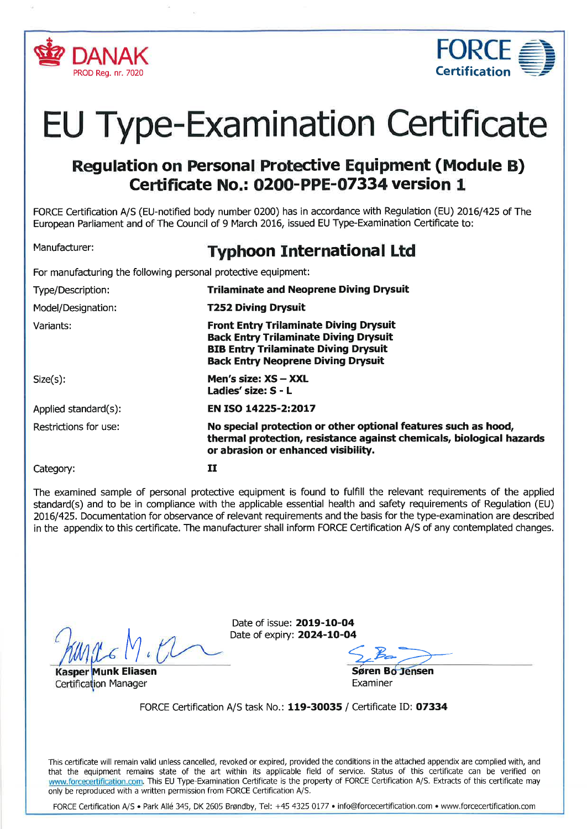



# EU Type-Examination Certificate

# Regulation on Personal Protective Equipment (Module B) Ceftificate No.: 0200-PPE-O7334 version 1

FORCE Certification A/S (EU-notified body number 0200) has in accordance with Regulation (EU) 2016/425 of The European Parliament and of The Council of 9 March 2016, issued EU Type-Examination Certificate to:

# Manufacturer: **Typhoon International Ltd**

For manufacturing the following personal protective equipment:

| Type/Description:     | <b>Trilaminate and Neoprene Diving Drysuit</b>                                                                                                                                            |
|-----------------------|-------------------------------------------------------------------------------------------------------------------------------------------------------------------------------------------|
| Model/Designation:    | <b>T252 Diving Drysuit</b>                                                                                                                                                                |
| Variants:             | <b>Front Entry Trilaminate Diving Drysuit</b><br><b>Back Entry Trilaminate Diving Drysuit</b><br><b>BIB Entry Trilaminate Diving Drysuit</b><br><b>Back Entry Neoprene Diving Drysuit</b> |
| $Size(s)$ :           | Men's size: XS - XXL<br>Ladies' size: S - L                                                                                                                                               |
| Applied standard(s):  | EN ISO 14225-2:2017                                                                                                                                                                       |
| Restrictions for use: | No special protection or other optional features such as hood,<br>thermal protection, resistance against chemicals, biological hazards<br>or abrasion or enhanced visibility.             |
| Category:             | 11                                                                                                                                                                                        |

The examined sample of personal protective equipment is found to fulfill the relevant requirements of the applied standard(s) and to be in compliance with the applicable essential health and safety requirements of Regulation (EU) 2016/425. Documentation for observance of relevant requirements and the basis for the type-examination are described in the appendix to this certificate. The manufacturer shall inform FORCE Ceftification A/S of any contemplated changes.

M

nk Eliasen sáren Bófélsen Certification Manager **Examiner** Examiner

Date of issue: 2019-10-04 Date of expiry: 2024-10-04

 $52-7$ 

FORCE Certification A/S task No.: 119-30035 / Certificate ID: O7334

This certificate will remain valid unless cancelled, revoked or expired, provided the conditions in the attached appendix are complied with, and that the equipment remains state of the art within its applicable field of service. Status of this certificate can be verified on www.forcecertification.com. This EU Type-Examination Certificate is the property of FORCE Certification A/S. Extracts of this certificate may only be reproduced with a written permission from FORCE Certification A/S.

FORCE Certification A/S . Park Allé 345, DK 2605 Brøndby, Tel: +45 4325 0177 . info@forcecertification.com . www.forcecertification.com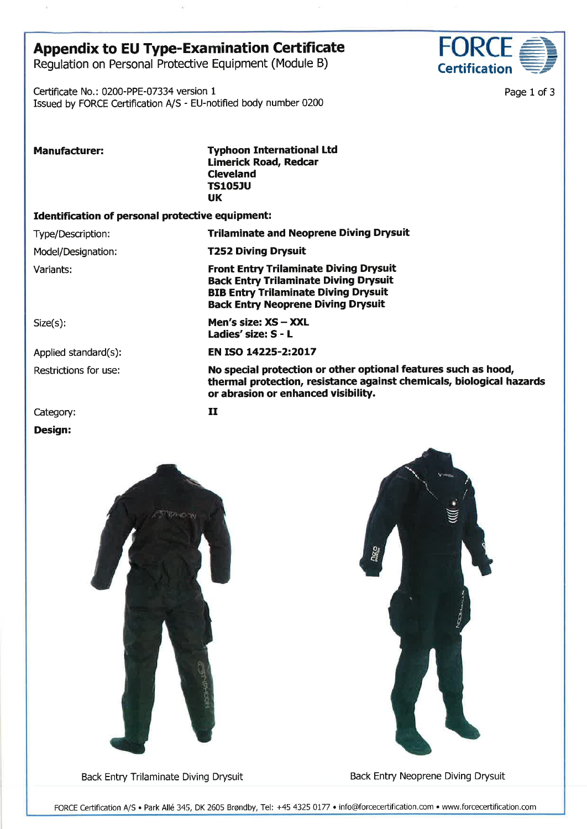## Appendix to EU Type-Examination Certificate

Regulation on Personal Protective Equipment (Module B)

Certificate No.: 0200-PPE-07334 version <sup>1</sup> Issued by FORCE Certification A/S - EU-notified body number 0200



Page 1 of 3

Manufacturer: Typhoon International Ltd Limerick Road, Redcar Cleveland TSlOsJU UK

#### Identification of personal protective equipment:

Type/Description: Trilaminate and Neoprene Diving Drysuit

Model/Designation: T252 Diving Drysuit

Variants: Front Entry Trilaminate Diving Drysuit Back Entry Trilaminate Diving Drysuit BIB Entry Trilaminate Diving Drysuit Back Entry Neoprene Diving Drysuit

or abrasion or enhanced visibility.

 $Size(s):$  **Men's size: XS - XXL** Ladies' size: S - L

Applied standard(s): **EN ISO 14225-2:2017** 

Restrictions for use: No special protection or other optional features such as hood,

Category: **II** 

#### Design:





thermal protection, resistance against chemicals, biological hazards

Back Entry Trilaminate Diving Drysuit Back Entry Neoprene Diving Drysuit

FORCE Certification A/S · Park Allé 345, DK 2605 Brøndby, Tel: +45 4325 0177 · info@forcecertification.com · www.forcecertification.com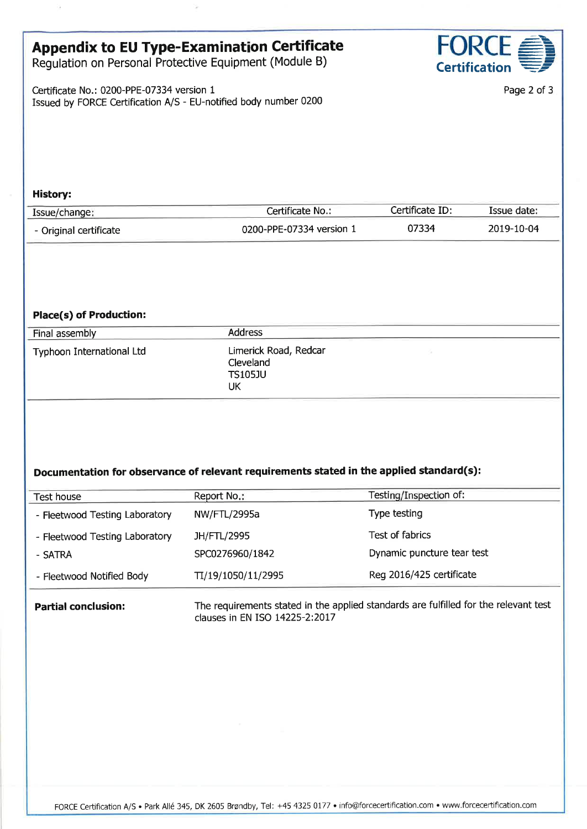# Appendix to EU Type-Examination Certificate

Regulation on Personal Protective Equipment (Module B)

Certificate No.: 0200-PPE-07334 version <sup>1</sup> Issued by FORCE Certification A/S - EU-notified body number 0200



Page 2 of 3

#### History:

| Issue/change:          | Certificate No.:         | Certificate ID: | Issue date: |
|------------------------|--------------------------|-----------------|-------------|
| - Original certificate | 0200-PPE-07334 version 1 | 07334           | 2019-10-04  |

#### Place(s) of Production:

| Final assembly            | Address                                                    |  |
|---------------------------|------------------------------------------------------------|--|
| Typhoon International Ltd | Limerick Road, Redcar<br>Cleveland<br><b>TS105JU</b><br>UK |  |

### Documentation for observance of relevant requirements stated in the applied standard(s):

| Test house                     | Report No.:        | Testing/Inspection of:     |
|--------------------------------|--------------------|----------------------------|
| - Fleetwood Testing Laboratory | NW/FTL/2995a       | Type testing               |
| - Fleetwood Testing Laboratory | JH/FTL/2995        | Test of fabrics            |
| - SATRA                        | SPC0276960/1842    | Dynamic puncture tear test |
| - Fleetwood Notified Body      | TI/19/1050/11/2995 | Reg 2016/425 certificate   |

**Partial conclusion:** The requirements stated in the applied standards are fulfilled for the relevant test clauses in EN ISO 14225-2:2017